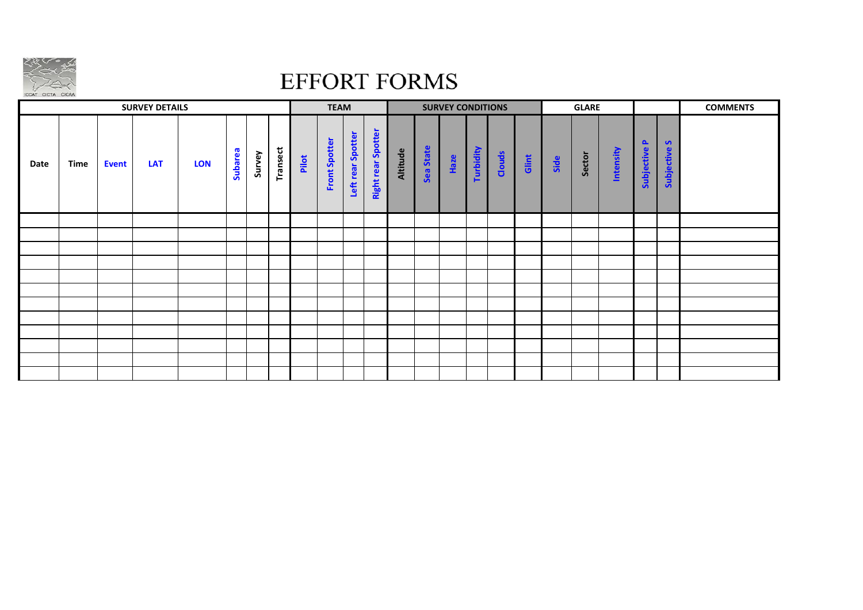

## **EFFORT FORMS**

|      |             |              | <b>SURVEY DETAILS</b> |            |         |        |                 |       | <b>TEAM</b>   |                   |                    |          |           | <b>SURVEY CONDITIONS</b> |           |        |       |      | <b>GLARE</b> |           |                        |                        | <b>COMMENTS</b> |
|------|-------------|--------------|-----------------------|------------|---------|--------|-----------------|-------|---------------|-------------------|--------------------|----------|-----------|--------------------------|-----------|--------|-------|------|--------------|-----------|------------------------|------------------------|-----------------|
| Date | <b>Time</b> | <b>Event</b> | LAT                   | <b>LON</b> | Subarea | Survey | <b>Transect</b> | Pilot | Front Spotter | Left rear Spotter | Right rear Spotter | Altitude | Sea State | Haze                     | Turbidity | Clouds | Glint | Side | Sector       | Intensity | $\Delta$<br>Subjective | <b>S</b><br>Subjective |                 |
|      |             |              |                       |            |         |        |                 |       |               |                   |                    |          |           |                          |           |        |       |      |              |           |                        |                        |                 |
|      |             |              |                       |            |         |        |                 |       |               |                   |                    |          |           |                          |           |        |       |      |              |           |                        |                        |                 |
|      |             |              |                       |            |         |        |                 |       |               |                   |                    |          |           |                          |           |        |       |      |              |           |                        |                        |                 |
|      |             |              |                       |            |         |        |                 |       |               |                   |                    |          |           |                          |           |        |       |      |              |           |                        |                        |                 |
|      |             |              |                       |            |         |        |                 |       |               |                   |                    |          |           |                          |           |        |       |      |              |           |                        |                        |                 |
|      |             |              |                       |            |         |        |                 |       |               |                   |                    |          |           |                          |           |        |       |      |              |           |                        |                        |                 |
|      |             |              |                       |            |         |        |                 |       |               |                   |                    |          |           |                          |           |        |       |      |              |           |                        |                        |                 |
|      |             |              |                       |            |         |        |                 |       |               |                   |                    |          |           |                          |           |        |       |      |              |           |                        |                        |                 |
|      |             |              |                       |            |         |        |                 |       |               |                   |                    |          |           |                          |           |        |       |      |              |           |                        |                        |                 |
|      |             |              |                       |            |         |        |                 |       |               |                   |                    |          |           |                          |           |        |       |      |              |           |                        |                        |                 |
|      |             |              |                       |            |         |        |                 |       |               |                   |                    |          |           |                          |           |        |       |      |              |           |                        |                        |                 |
|      |             |              |                       |            |         |        |                 |       |               |                   |                    |          |           |                          |           |        |       |      |              |           |                        |                        |                 |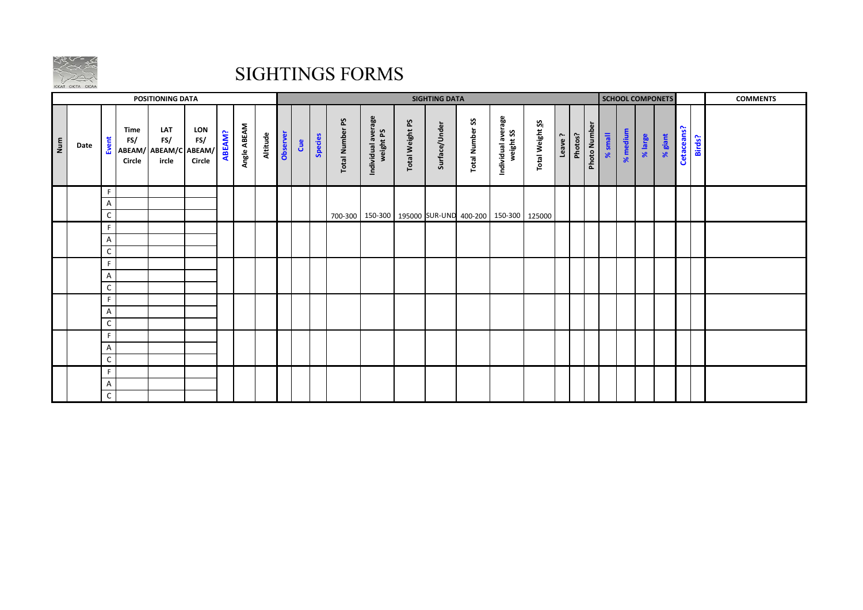

## **SIGHTINGS FORMS**

|     |      |              |                       | <b>POSITIONING DATA</b>                      |                      |               |             |          |          | <b>SIGHTING DATA</b> |         |                           |                                 |                        | <b>SCHOOL COMPONETS</b> |                                     |                                                                 |                        |        | <b>COMMENTS</b> |              |         |          |         |         |            |        |  |
|-----|------|--------------|-----------------------|----------------------------------------------|----------------------|---------------|-------------|----------|----------|----------------------|---------|---------------------------|---------------------------------|------------------------|-------------------------|-------------------------------------|-----------------------------------------------------------------|------------------------|--------|-----------------|--------------|---------|----------|---------|---------|------------|--------|--|
| Num | Date | Event        | Time<br>FS/<br>Circle | LAT<br>FS/<br>ABEAM/ ABEAM/C ABEAM/<br>ircle | LON<br>FS/<br>Circle | <b>ABEAM?</b> | Angle ABEAM | Altitude | Observer | å                    | Species | ρS<br><b>Total Number</b> | Individual average<br>weight PS | <b>Total Weight PS</b> | Surface/Under           | $\mathbf{S}$<br><b>Total Number</b> | Individual average<br>weight SS                                 | <b>Total Weight SS</b> | Leave? | Photos?         | Photo Number | % small | % medium | % large | % giant | Cetaceans? | Birds? |  |
|     |      | F.           |                       |                                              |                      |               |             |          |          |                      |         |                           |                                 |                        |                         |                                     |                                                                 |                        |        |                 |              |         |          |         |         |            |        |  |
|     |      | A            |                       |                                              |                      |               |             |          |          |                      |         |                           |                                 |                        |                         |                                     |                                                                 |                        |        |                 |              |         |          |         |         |            |        |  |
|     |      | C            |                       |                                              |                      |               |             |          |          |                      |         |                           |                                 |                        |                         |                                     | 700-300   150-300   195000   SUR-UND 400-200   150-300   125000 |                        |        |                 |              |         |          |         |         |            |        |  |
|     |      | F.           |                       |                                              |                      |               |             |          |          |                      |         |                           |                                 |                        |                         |                                     |                                                                 |                        |        |                 |              |         |          |         |         |            |        |  |
|     |      | A<br>C       |                       |                                              |                      |               |             |          |          |                      |         |                           |                                 |                        |                         |                                     |                                                                 |                        |        |                 |              |         |          |         |         |            |        |  |
|     |      | F.           |                       |                                              |                      |               |             |          |          |                      |         |                           |                                 |                        |                         |                                     |                                                                 |                        |        |                 |              |         |          |         |         |            |        |  |
|     |      | A            |                       |                                              |                      |               |             |          |          |                      |         |                           |                                 |                        |                         |                                     |                                                                 |                        |        |                 |              |         |          |         |         |            |        |  |
|     |      | C            |                       |                                              |                      |               |             |          |          |                      |         |                           |                                 |                        |                         |                                     |                                                                 |                        |        |                 |              |         |          |         |         |            |        |  |
|     |      | F.           |                       |                                              |                      |               |             |          |          |                      |         |                           |                                 |                        |                         |                                     |                                                                 |                        |        |                 |              |         |          |         |         |            |        |  |
|     |      | Α            |                       |                                              |                      |               |             |          |          |                      |         |                           |                                 |                        |                         |                                     |                                                                 |                        |        |                 |              |         |          |         |         |            |        |  |
|     |      | C            |                       |                                              |                      |               |             |          |          |                      |         |                           |                                 |                        |                         |                                     |                                                                 |                        |        |                 |              |         |          |         |         |            |        |  |
|     |      | F.           |                       |                                              |                      |               |             |          |          |                      |         |                           |                                 |                        |                         |                                     |                                                                 |                        |        |                 |              |         |          |         |         |            |        |  |
|     |      | A            |                       |                                              |                      |               |             |          |          |                      |         |                           |                                 |                        |                         |                                     |                                                                 |                        |        |                 |              |         |          |         |         |            |        |  |
|     |      | C            |                       |                                              |                      |               |             |          |          |                      |         |                           |                                 |                        |                         |                                     |                                                                 |                        |        |                 |              |         |          |         |         |            |        |  |
|     |      | F.           |                       |                                              |                      |               |             |          |          |                      |         |                           |                                 |                        |                         |                                     |                                                                 |                        |        |                 |              |         |          |         |         |            |        |  |
|     |      | Α            |                       |                                              |                      |               |             |          |          |                      |         |                           |                                 |                        |                         |                                     |                                                                 |                        |        |                 |              |         |          |         |         |            |        |  |
|     |      | $\mathsf{C}$ |                       |                                              |                      |               |             |          |          |                      |         |                           |                                 |                        |                         |                                     |                                                                 |                        |        |                 |              |         |          |         |         |            |        |  |